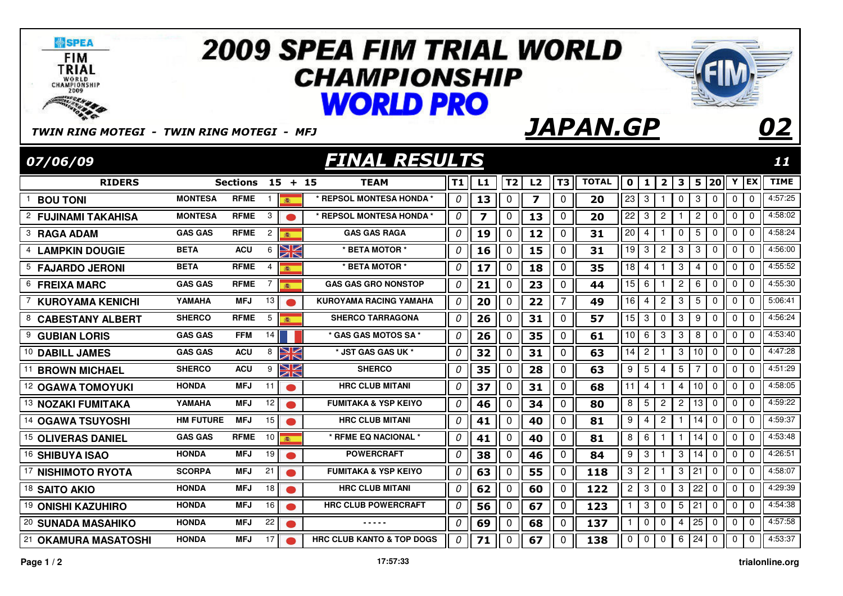| <b>SPEA</b><br><b>FIM</b><br>TRIAL<br>WORLD<br>CHAMPIONSHIP<br>2009<br>TWIN RING MOTEGI - TWIN RING MOTEGI - MFJ |                  |                 |                                             | <b>2009 SPEA FIM TRIAL WORLD</b><br><b>CHAMPIONSHIP</b><br><b>WORLD PRO</b> |    |                         |                |    |                | <i><b>JAPAN.GP</b></i> |                  |                |                |                 |    |             |             |              | 02          |
|------------------------------------------------------------------------------------------------------------------|------------------|-----------------|---------------------------------------------|-----------------------------------------------------------------------------|----|-------------------------|----------------|----|----------------|------------------------|------------------|----------------|----------------|-----------------|----|-------------|-------------|--------------|-------------|
| <b>FINAL RESULTS</b><br>07/06/09                                                                                 |                  |                 |                                             |                                                                             |    |                         |                |    |                |                        |                  | 11             |                |                 |    |             |             |              |             |
| <b>RIDERS</b>                                                                                                    |                  | <b>Sections</b> | $15 + 15$                                   | <b>TEAM</b>                                                                 | T1 | L1                      | T <sub>2</sub> | L2 | T3             | <b>TOTAL</b>           | $\mathbf 0$      | $\mathbf{1}$   | $\mathbf{2}$   | 3               |    |             | 5 20 Y EX   |              | <b>TIME</b> |
| <b>BOU TONI</b>                                                                                                  | <b>MONTESA</b>   | <b>RFME</b>     | $\mathbf{1}$<br>画                           | $^\star$ REPSOL MONTESA HONDA $^\star$                                      | 0  | 13                      | 0              | 7  | 0              | 20                     | 23               | 3              | 1              | $\mathbf 0$     | 3  | $\mathbf 0$ | $\mathbf 0$ | $\mathbf 0$  | 4:57:25     |
| 2<br><b>FUJINAMI TAKAHISA</b>                                                                                    | <b>MONTESA</b>   | <b>RFME</b>     | 3                                           | * REPSOL MONTESA HONDA *                                                    | 0  | $\overline{\mathbf{z}}$ | $\mathbf 0$    | 13 | 0              | 20                     | 22               | 3              | $\overline{2}$ | -1              | 2  | 0           | $\mathbf 0$ | 0            | 4:58:02     |
| 3<br><b>RAGA ADAM</b>                                                                                            | <b>GAS GAS</b>   | <b>RFME</b>     | $\overline{c}$<br>$\overline{AB}$           | <b>GAS GAS RAGA</b>                                                         | 0  | 19                      | $\mathbf 0$    | 12 | 0              | 31                     | 20               | 4              |                | 0               | 5  | $\mathbf 0$ | $\mathbf 0$ | $\mathbf 0$  | 4:58:24     |
| <b>LAMPKIN DOUGIE</b>                                                                                            | <b>BETA</b>      | <b>ACU</b>      | ↘∠<br>6<br>AR                               | * BETA MOTOR *                                                              | 0  | 16                      | $\mathbf{0}$   | 15 | 0              | 31                     | 19               | 3              | $\overline{c}$ | $\mathbf{3}$    | 3  | $\mathbf 0$ | $\mathbf 0$ | $\mathbf 0$  | 4:56:00     |
| 5<br><b>FAJARDO JERONI</b>                                                                                       | <b>BETA</b>      | <b>RFME</b>     | 4<br>濾                                      | * BETA MOTOR *                                                              | 0  | 17                      | 0              | 18 | 0              | 35                     | 18               | 4              |                | 3               | 4  | 0           | $\mathbf 0$ | 0            | 4:55:52     |
| 6<br><b>FREIXA MARC</b>                                                                                          | <b>GAS GAS</b>   | <b>RFME</b>     | $\overline{7}$<br>趣                         | <b>GAS GAS GRO NONSTOP</b>                                                  | 0  | 21                      | 0              | 23 | $\mathbf 0$    | 44                     | 15               | 6              | 1              | $\overline{c}$  | 6  | $\mathbf 0$ | $\mathbf 0$ | 0            | 4:55:30     |
| <b>KUROYAMA KENICHI</b>                                                                                          | YAMAHA           | <b>MFJ</b>      | 13                                          | <b>KUROYAMA RACING YAMAHA</b>                                               | 0  | 20                      | $\mathbf 0$    | 22 | $\overline{7}$ | 49                     | 16               | 4              | 2              | 3               | 5  | 0           | 0           | 0            | 5:06:41     |
| 8<br><b>CABESTANY ALBERT</b>                                                                                     | <b>SHERCO</b>    | <b>RFME</b>     | 5<br>画                                      | <b>SHERCO TARRAGONA</b>                                                     | 0  | 26                      | $\mathbf 0$    | 31 | 0              | $\overline{57}$        | 15               | 3              | 0              | 3               | 9  | $\mathbf 0$ | $\mathbf 0$ | $\mathbf 0$  | 4:56:24     |
| 9<br><b>GUBIAN LORIS</b>                                                                                         | <b>GAS GAS</b>   | <b>FFM</b>      | 14                                          | * GAS GAS MOTOS SA                                                          | 0  | 26                      | 0              | 35 | $\pmb{0}$      | 61                     | 10               | 6              | 3              | $\mathbf{3}$    | 8  | $\pmb{0}$   | $\mathbf 0$ | $\Omega$     | 4:53:40     |
| 10 DABILL JAMES                                                                                                  | <b>GAS GAS</b>   | <b>ACU</b>      | VZ<br>8<br>ØN                               | * JST GAS GAS UK *                                                          | 0  | 32                      | 0              | 31 | $\pmb{0}$      | 63                     | 14               | $\overline{c}$ | 1              | 3               | 10 | $\mathbf 0$ | 0           | 0            | 4:47:28     |
| 11<br><b>BROWN MICHAEL</b>                                                                                       | <b>SHERCO</b>    | <b>ACU</b>      | V<br>9<br>$\overline{\mathbb{Z}}\mathbb{N}$ | <b>SHERCO</b>                                                               | 0  | 35                      | $\mathbf{0}$   | 28 | $\mathbf 0$    | 63                     | 9                | 5              | 4              | 5               |    | 0           | $\mathbf 0$ | $\mathbf 0$  | 4:51:29     |
| <sup>12</sup> OGAWA TOMOYUKI                                                                                     | <b>HONDA</b>     | MFJ             | 11                                          | <b>HRC CLUB MITANI</b>                                                      | 0  | 37                      | $\Omega$       | 31 | $\Omega$       | 68                     | 11               | $\overline{4}$ |                | 4               | 10 | $\mathbf 0$ | $\Omega$    | $\mathbf{0}$ | 4:58:05     |
| 13 NOZAKI FUMITAKA                                                                                               | YAMAHA           | <b>MFJ</b>      | 12                                          | <b>FUMITAKA &amp; YSP KEIYO</b>                                             | 0  | 46                      | $\mathbf 0$    | 34 | $\mathbf 0$    | 80                     | 8                | 5              | $\overline{2}$ | $\overline{c}$  | 13 | $\mathbf 0$ | $\Omega$    | $\mathbf{0}$ | 4:59:22     |
| <sup>14</sup> OGAWA TSUYOSHI                                                                                     | <b>HM FUTURE</b> | <b>MFJ</b>      | 15                                          | <b>HRC CLUB MITANI</b>                                                      | 0  | 41                      | $\mathbf 0$    | 40 | $\mathbf 0$    | 81                     | 9                | 4              | 2              | -1              | 14 | $\mathbf 0$ | $\mathbf 0$ | 0            | 4:59:37     |
| <sup>15</sup> OLIVERAS DANIEL                                                                                    | <b>GAS GAS</b>   | <b>RFME</b>     | 10 <sup>1</sup><br>本                        | * RFME EQ NACIONAL *                                                        | 0  | 41                      | $\mathbf 0$    | 40 | $\mathbf 0$    | 81                     | 8                | 6              |                | -1              | 14 | $\mathbf 0$ | $\mathbf 0$ | 0            | 4:53:48     |
| 16 SHIBUYA ISAO                                                                                                  | <b>HONDA</b>     | <b>MFJ</b>      | 19                                          | <b>POWERCRAFT</b>                                                           | 0  | 38                      | $\mathbf 0$    | 46 | 0              | 84                     | 9                | 3              |                | 3               | 14 | 0           | 0           | $\mathbf 0$  | 4:26:51     |
| 17<br><b>NISHIMOTO RYOTA</b>                                                                                     | <b>SCORPA</b>    | <b>MFJ</b>      | 21                                          | <b>FUMITAKA &amp; YSP KEIYO</b>                                             | 0  | 63                      | $\mathbf 0$    | 55 | $\mathbf 0$    | 118                    | $\sqrt{3}$       | $\overline{2}$ |                | 3               | 21 | $\mathbf 0$ | $\mathbf 0$ | $\mathbf 0$  | 4:58:07     |
| <sup>18</sup> SAITO AKIO                                                                                         | <b>HONDA</b>     | <b>MFJ</b>      | 18                                          | <b>HRC CLUB MITANI</b>                                                      | 0  | 62                      | 0              | 60 | $\pmb{0}$      | 122                    | $\boldsymbol{2}$ | 3              | 0              | 3               | 22 | $\pmb{0}$   | $\mathbf 0$ | 0            | 4:29:39     |
| 19 ONISHI KAZUHIRO                                                                                               | <b>HONDA</b>     | <b>MFJ</b>      | 16 <sup>1</sup>                             | <b>HRC CLUB POWERCRAFT</b>                                                  | 0  | 56                      | 0              | 67 | $\pmb{0}$      | 123                    | $\mathbf{1}$     | 3              | $\mathbf 0$    | $5\phantom{.0}$ | 21 | $\mathbf 0$ | $\mathbf 0$ | $\mathbf 0$  | 4:54:38     |
| 20 SUNADA MASAHIKO                                                                                               | <b>HONDA</b>     | <b>MFJ</b>      | 22                                          |                                                                             | 0  | 69                      | $\Omega$       | 68 | 0              | 137                    | $\mathbf{1}$     | 0              | 0              | 4               | 25 | $\mathbf 0$ | 0           | $\mathbf 0$  | 4:57:58     |
| 21 OKAMURA MASATOSHI                                                                                             | <b>HONDA</b>     | MFJ             | 17                                          | <b>HRC CLUB KANTO &amp; TOP DOGS</b>                                        | 0  | 71                      | 0              | 67 | 0              | 138                    | $\Omega$         | $\mathbf 0$    | $\Omega$       | 6               | 24 | $\mathbf 0$ | $\Omega$    | $\Omega$     | 4:53:37     |